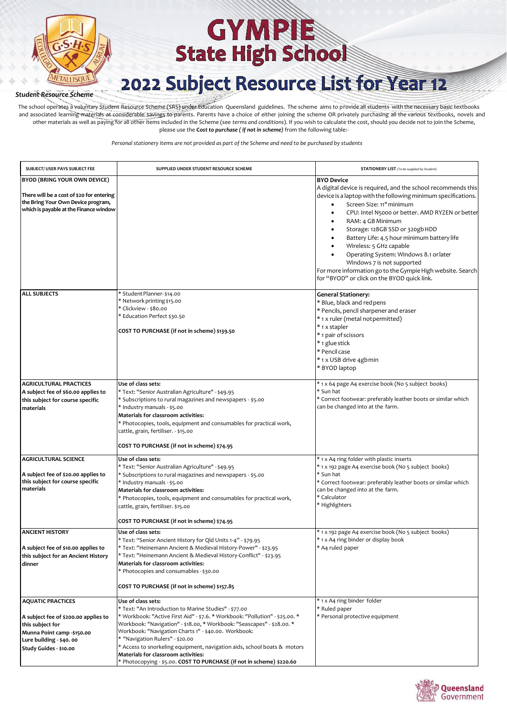

## 2022 Subject Resource List for Year 12

*Student Resource Scheme*

The school operates a voluntary Student Resource Scheme (SRS) under Education Queensland guidelines. The scheme aims to provide all students with the necessary basic textbooks and associated learning materials at considerable savings to parents. Parents have a choice of either joining the scheme OR privately purchasing all the various textbooks, novels and other materials as well as paying for all other items included in the Scheme (see *terms and conditions*). If you wish to calculate the cost, should you decide not to join the Scheme, please use the **C***ost to purchase ( if not in scheme)* from the following table:-

| SUBJECT/ USER PAYS SUBJECT FEE                                                                                                                                          | SUPPLIED UNDER STUDENT RESOURCE SCHEME                                                                                                                                                                                                                                                                                                                                                                                                                                                                                       | <b>STATIONERY LIST</b> (To be supplied by Student)                                                                                                                                                                                                                                                                                                                                                                                                                                                                                                            |
|-------------------------------------------------------------------------------------------------------------------------------------------------------------------------|------------------------------------------------------------------------------------------------------------------------------------------------------------------------------------------------------------------------------------------------------------------------------------------------------------------------------------------------------------------------------------------------------------------------------------------------------------------------------------------------------------------------------|---------------------------------------------------------------------------------------------------------------------------------------------------------------------------------------------------------------------------------------------------------------------------------------------------------------------------------------------------------------------------------------------------------------------------------------------------------------------------------------------------------------------------------------------------------------|
| BYOD (BRING YOUR OWN DEVICE)<br>There will be a cost of \$20 for entering<br>the Bring Your Own Device program,<br>which is payable at the Finance window               |                                                                                                                                                                                                                                                                                                                                                                                                                                                                                                                              | <b>BYO Device</b><br>A digital device is required, and the school recommends this<br>device is a laptop with the following minimum specifications.<br>Screen Size: 11" minimum<br>CPU: Intel N5000 or better. AMD RYZEN or better<br>RAM: 4 GB Minimum<br>Storage: 128GB SSD or 320gb HDD<br>٠<br>Battery Life: 4.5 hour minimum battery life<br>Wireless: 5 GHz capable<br>Operating System: Windows 8.1 or later<br>Windows 7 is not supported<br>For more information go to the Gympie High website. Search<br>for "BYOD" or click on the BYOD quick link. |
| <b>ALL SUBJECTS</b>                                                                                                                                                     | * Student Planner-\$14.00<br>* Network printing \$15.00<br>* Clickview - \$80.00<br>* Education Perfect \$30.50<br>COST TO PURCHASE (if not in scheme) \$139.50                                                                                                                                                                                                                                                                                                                                                              | <b>General Stationery:</b><br>* Blue, black and redpens<br>* Pencils, pencil sharpener and eraser<br>*1 x ruler (metal not permitted)<br>* 1 x stapler<br>* 1 pair of scissors<br>* 1 glue stick<br>* Pencil case<br>* 1 x USB drive 4gb min<br>* BYOD laptop                                                                                                                                                                                                                                                                                                 |
| <b>AGRICULTURAL PRACTICES</b><br>A subject fee of \$60.00 applies to<br>this subject for course specific<br>materials                                                   | Use of class sets:<br>* Text: "Senior Australian Agriculture" - \$49.95<br>* Subscriptions to rural magazines and newspapers - \$5.00<br>* Industry manuals - \$5.00<br>Materials for classroom activities:<br>* Photocopies, tools, equipment and consumables for practical work,<br>cattle, grain, fertiliser. - \$15.00<br>COST TO PURCHASE (if not in scheme) \$74.95                                                                                                                                                    | * 1 x 64 page A4 exercise book (No 5 subject books)<br>* Sun hat<br>* Correct footwear: preferably leather boots or similar which<br>can be changed into at the farm.                                                                                                                                                                                                                                                                                                                                                                                         |
| <b>AGRICULTURAL SCIENCE</b><br>A subject fee of \$20.00 applies to<br>this subject for course specific<br>materials                                                     | Use of class sets:<br>* Text: "Senior Australian Agriculture" - \$49.95<br>* Subscriptions to rural magazines and newspapers - \$5.00<br>* Industry manuals - \$5.00<br>Materials for classroom activities:<br>* Photocopies, tools, equipment and consumables for practical work,<br>cattle, grain, fertiliser. \$15.00<br>COST TO PURCHASE (if not in scheme) \$74.95                                                                                                                                                      | * 1 x A4 ring folder with plastic inserts<br>* 1 x 192 page A4 exercise book (No 5 subject books)<br>* Sun hat<br>* Correct footwear: preferably leather boots or similar which<br>can be changed into at the farm.<br>* Calculator<br>* Highlighters                                                                                                                                                                                                                                                                                                         |
| <b>ANCIENT HISTORY</b><br>A subject fee of \$10.00 applies to<br>this subject for an Ancient History<br>dinner                                                          | Use of class sets:<br>* Text: "Senior Ancient History for Qld Units 1-4" - \$79.95<br>* Text: "Heinemann Ancient & Medieval History-Power" - \$23.95<br>* Text: "Heinemann Ancient & Medieval History-Conflict" - \$23.95<br>Materials for classroom activities:<br>* Photocopies and consumables - \$30.00<br>COST TO PURCHASE (if not in scheme) \$157.85                                                                                                                                                                  | * 1 x 192 page A4 exercise book (No 5 subject books)<br>* 1 x A4 ring binder or display book<br>* A4 ruled paper                                                                                                                                                                                                                                                                                                                                                                                                                                              |
| <b>AQUATIC PRACTICES</b><br>A subject fee of \$200.00 applies to<br>this subject for<br>Munna Point camp -\$150.00<br>Lure building - \$40.00<br>Study Guides - \$10.00 | Use of class sets:<br>* Text: "An Introduction to Marine Studies" - \$77.00<br>* Workbook: "Active First Aid" - \$7.6. * Workbook: "Pollution" - \$25.00. *<br>Workbook: "Navigation" - \$18.00, * Workbook: "Seascapes" - \$28.00. *<br>Workbook: "Navigation Charts 1" - \$40.00. Workbook:<br>* "Navigation Rulers" - \$20.00<br>* Access to snorkeling equipment, navigation aids, school boats & motors<br>Materials for classroom activities:<br>* Photocopying - \$5.00. COST TO PURCHASE (if not in scheme) \$220.60 | * 1 x A4 ring binder folder<br>* Ruled paper<br>* Personal protective equipment                                                                                                                                                                                                                                                                                                                                                                                                                                                                               |

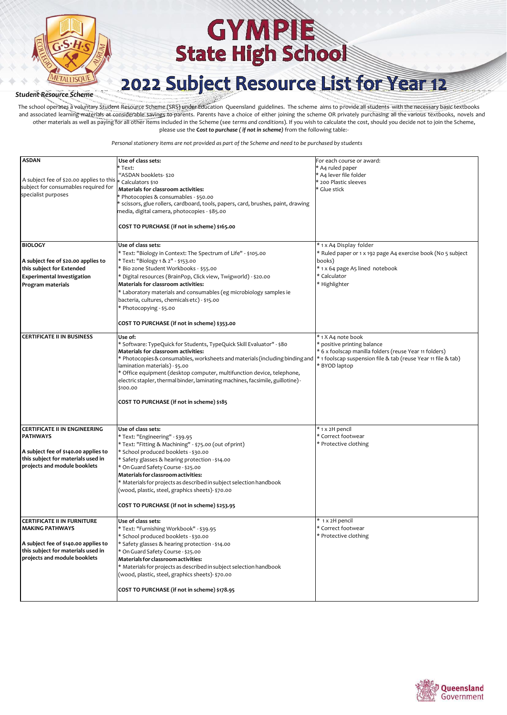

## 2022 Subject Resource List for Year 12

*Student Resource Scheme*

The school operates a voluntary Student Resource Scheme (SRS) under Education Queensland guidelines. The scheme aims to provide all students with the necessary basic textbooks and associated learning materials at considerable savings to parents. Parents have a choice of either joining the scheme OR privately purchasing all the various textbooks, novels and other materials as well as paying for all other items included in the Scheme (see *terms and conditions*). If you wish to calculate the cost, should you decide not to join the Scheme, please use the **C***ost to purchase ( if not in scheme)* from the following table:-

| <b>ASDAN</b>                             | Use of class sets:<br>Text:                                                       | For each course or award:<br>* A4 ruled paper                 |
|------------------------------------------|-----------------------------------------------------------------------------------|---------------------------------------------------------------|
|                                          | "ASDAN booklets- \$20                                                             | * A4 lever file folder                                        |
| A subject fee of \$20.00 applies to this | * Calculators \$10                                                                | * 200 Plastic sleeves                                         |
| subject for consumables required for     |                                                                                   | * Glue stick                                                  |
| specialist purposes                      | Materials for classroom activities:                                               |                                                               |
|                                          | * Photocopies & consumables - \$50.00                                             |                                                               |
|                                          | * scissors, glue rollers, cardboard, tools, papers, card, brushes, paint, drawing |                                                               |
|                                          | media, digital camera, photocopies - \$85.00                                      |                                                               |
|                                          |                                                                                   |                                                               |
|                                          |                                                                                   |                                                               |
|                                          | COST TO PURCHASE (if not in scheme) \$165.00                                      |                                                               |
|                                          |                                                                                   |                                                               |
|                                          |                                                                                   |                                                               |
| <b>BIOLOGY</b>                           | Use of class sets:                                                                | * 1 x A4 Display folder                                       |
|                                          | * Text: "Biology in Context: The Spectrum of Life" - \$105.00                     | * Ruled paper or 1 x 192 page A4 exercise book (No 5 subject  |
| A subject fee of \$20.00 applies to      | * Text: "Biology 1 & 2" - \$153.00                                                | books)                                                        |
|                                          |                                                                                   |                                                               |
| this subject for Extended                | * Bio zone Student Workbooks - \$55.00                                            | * 1 x 64 page A5 lined notebook                               |
| <b>Experimental Investigation</b>        | * Digital resources (BrainPop, Click view, Twigworld) - \$20.00                   | * Calculator                                                  |
| Program materials                        | Materials for classroom activities:                                               | * Highlighter                                                 |
|                                          |                                                                                   |                                                               |
|                                          | * Laboratory materials and consumables (eg microbiology samples ie                |                                                               |
|                                          | bacteria, cultures, chemicals etc) - \$15.00                                      |                                                               |
|                                          | * Photocopying - \$5.00                                                           |                                                               |
|                                          |                                                                                   |                                                               |
|                                          |                                                                                   |                                                               |
|                                          | COST TO PURCHASE (if not in scheme) \$353.00                                      |                                                               |
|                                          |                                                                                   |                                                               |
| <b>CERTIFICATE II IN BUSINESS</b>        | Use of:                                                                           | * 1 X A4 note book                                            |
|                                          | * Software: TypeQuick for Students, TypeQuick Skill Evaluator" - \$80             | * positive printing balance                                   |
|                                          | Materials for classroom activities:                                               | * 6 x foolscap manilla folders (reuse Year 11 folders)        |
|                                          | * Photocopies & consumables, worksheets and materials (including binding and      |                                                               |
|                                          |                                                                                   | * 1 foolscap suspension file & tab (reuse Year 11 file & tab) |
|                                          | lamination materials) - \$5.00                                                    | * BYOD laptop                                                 |
|                                          | * Office equipment (desktop computer, multifunction device, telephone,            |                                                               |
|                                          | electric stapler, thermal binder, laminating machines, facsimile, guillotine)-    |                                                               |
|                                          | \$100.00                                                                          |                                                               |
|                                          |                                                                                   |                                                               |
|                                          |                                                                                   |                                                               |
|                                          | COST TO PURCHASE (if not in scheme) \$185                                         |                                                               |
|                                          |                                                                                   |                                                               |
|                                          |                                                                                   |                                                               |
|                                          |                                                                                   |                                                               |
| <b>CERTIFICATE II IN ENGINEERING</b>     | Use of class sets:                                                                | * 1 x 2H pencil                                               |
| <b>PATHWAYS</b>                          | * Text: "Engineering" - \$39.95                                                   | * Correct footwear                                            |
|                                          | * Text: "Fitting & Machining" - \$75.00 (out of print)                            | * Protective clothing                                         |
| A subject fee of \$140.00 applies to     |                                                                                   |                                                               |
|                                          | * School produced booklets - \$30.00                                              |                                                               |
| this subject for materials used in       | * Safety glasses & hearing protection - \$14.00                                   |                                                               |
| projects and module booklets             | * On Guard Safety Course - \$25.00                                                |                                                               |
|                                          | Materials for classroom activities:                                               |                                                               |
|                                          |                                                                                   |                                                               |
|                                          | * Materials for projects as described in subject selection handbook               |                                                               |
|                                          | (wood, plastic, steel, graphics sheets)- \$70.00                                  |                                                               |
|                                          |                                                                                   |                                                               |
|                                          | COST TO PURCHASE (if not in scheme) \$253.95                                      |                                                               |
|                                          |                                                                                   |                                                               |
|                                          |                                                                                   |                                                               |
| <b>CERTIFICATE II IN FURNITURE</b>       | Use of class sets:                                                                | * 1 x 2H pencil                                               |
| <b>MAKING PATHWAYS</b>                   | * Text: "Furnishing Workbook" - \$39.95                                           | * Correct footwear                                            |
|                                          | * School produced booklets - \$30.00                                              | * Protective clothing                                         |
|                                          |                                                                                   |                                                               |
| A subject fee of \$140.00 applies to     | * Safety glasses & hearing protection - \$14.00                                   |                                                               |
| this subject for materials used in       | * On Guard Safety Course - \$25.00                                                |                                                               |
| projects and module booklets             | Materials for classroom activities:                                               |                                                               |
|                                          | * Materials for projects as described in subject selection handbook               |                                                               |
|                                          |                                                                                   |                                                               |
|                                          | (wood, plastic, steel, graphics sheets)- \$70.00                                  |                                                               |
|                                          |                                                                                   |                                                               |
|                                          | COST TO PURCHASE (if not in scheme) \$178.95                                      |                                                               |
|                                          |                                                                                   |                                                               |
|                                          |                                                                                   |                                                               |

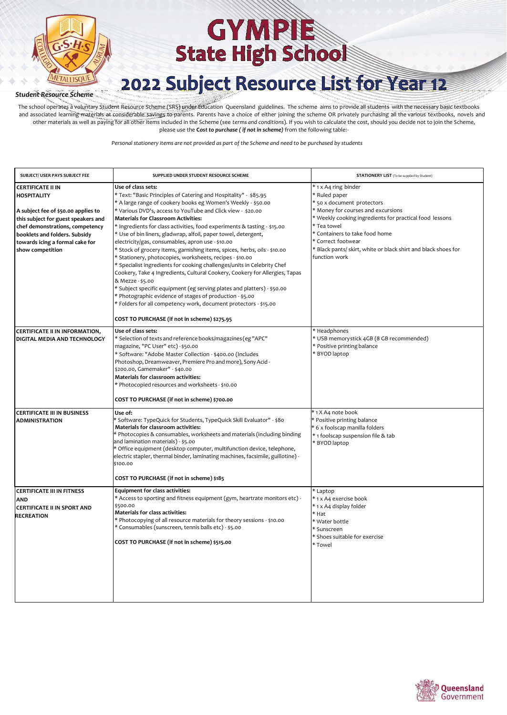

## 2022 Subject Resource List for Year 12

#### *Student Resource Scheme*

The school operates a voluntary Student Resource Scheme (SRS) under Education Queensland guidelines. The scheme aims to provide all students with the necessary basic textbooks and associated learning materials at considerable savings to parents. Parents have a choice of either joining the scheme OR privately purchasing all the various textbooks, novels and other materials as well as paying for all other items included in the Scheme (see *terms and conditions*). If you wish to calculate the cost, should you decide not to join the Scheme, please use the **C***ost to purchase ( if not in scheme)* from the following table:-

| SUBJECT/ USER PAYS SUBJECT FEE                                                                                                                                                                                                                          | SUPPLIED UNDER STUDENT RESOURCE SCHEME                                                                                                                                                                                                                                                                                                                                                                                                                                                                                                                                                                                                                                                                                                                                                                                                                                                                                                                                                                   | <b>STATIONERY LIST</b> (To be supplied by Student)                                                                                                                                                                                                                                                                             |
|---------------------------------------------------------------------------------------------------------------------------------------------------------------------------------------------------------------------------------------------------------|----------------------------------------------------------------------------------------------------------------------------------------------------------------------------------------------------------------------------------------------------------------------------------------------------------------------------------------------------------------------------------------------------------------------------------------------------------------------------------------------------------------------------------------------------------------------------------------------------------------------------------------------------------------------------------------------------------------------------------------------------------------------------------------------------------------------------------------------------------------------------------------------------------------------------------------------------------------------------------------------------------|--------------------------------------------------------------------------------------------------------------------------------------------------------------------------------------------------------------------------------------------------------------------------------------------------------------------------------|
| <b>CERTIFICATE II IN</b><br><b>HOSPITALITY</b><br>A subject fee of \$50.00 applies to<br>this subject for guest speakers and<br>chef demonstrations, competency<br>booklets and folders. Subsidy<br>towards icing a formal cake for<br>show competition | Use of class sets:<br>* Text: "Basic Principles of Catering and Hospitality" - \$85.95<br>* A large range of cookery books eg Women's Weekly - \$50.00<br>* Various DVD's, access to YouTube and Click view - \$20.00<br><b>Materials for Classroom Activities:</b><br>* Ingredients for class activities, food experiments & tasting - \$15.00<br>* Use of bin liners, gladwrap, alfoil, paper towel, detergent,<br>electricity/gas, consumables, apron use - \$10.00<br>* Stock of grocery items, garnishing items, spices, herbs, oils - \$10.00<br>* Stationery, photocopies, worksheets, recipes - \$10.00<br>* Specialist ingredients for cooking challenges/units in Celebrity Chef<br>Cookery, Take 4 Ingredients, Cultural Cookery, Cookery for Allergies, Tapas<br>& Mezze - \$5.00<br>* Subject specific equipment (eg serving plates and platters) - \$50.00<br>* Photographic evidence of stages of production - \$5.00<br>* Folders for all competency work, document protectors - \$15.00 | * 1 x A4 ring binder<br>* Ruled paper<br>* 50 x document protectors<br>* Money for courses and excursions<br>* Weekly cooking ingredients for practical food lessons<br>* Tea towel<br>* Containers to take food home<br>* Correct footwear<br>* Black pants/ skirt, white or black shirt and black shoes for<br>function work |
| <b>CERTIFICATE II IN INFORMATION,</b>                                                                                                                                                                                                                   | COST TO PURCHASE (if not in scheme) \$275.95<br>Use of class sets:                                                                                                                                                                                                                                                                                                                                                                                                                                                                                                                                                                                                                                                                                                                                                                                                                                                                                                                                       | * Headphones                                                                                                                                                                                                                                                                                                                   |
| DIGITAL MEDIA AND TECHNOLOGY                                                                                                                                                                                                                            | * Selection of texts and reference books/magazines (eg "APC"<br>magazine, "PC User" etc) - \$50.00<br>* Software: "Adobe Master Collection - \$400.00 (Includes<br>Photoshop, Dreamweaver, Premiere Pro and more), Sony Acid-<br>\$200.00, Gamemaker" - \$40.00<br>Materials for classroom activities:<br>* Photocopied resources and worksheets - \$10.00<br>COST TO PURCHASE (if not in scheme) \$700.00                                                                                                                                                                                                                                                                                                                                                                                                                                                                                                                                                                                               | * USB memorystick 4GB (8 GB recommended)<br>* Positive printing balance<br>* BYOD laptop                                                                                                                                                                                                                                       |
| <b>CERTIFICATE III IN BUSINESS</b><br><b>ADMINISTRATION</b>                                                                                                                                                                                             | Use of:<br>Software: TypeQuick for Students, TypeQuick Skill Evaluator" - \$80<br>Materials for classroom activities:<br>* Photocopies & consumables, worksheets and materials (including binding<br>and lamination materials) - \$5.00<br>Office equipment (desktop computer, multifunction device, telephone,<br>electric stapler, thermal binder, laminating machines, facsimile, guillotine) -<br>\$100.00<br>COST TO PURCHASE (if not in scheme) \$185                                                                                                                                                                                                                                                                                                                                                                                                                                                                                                                                              | * 1 X A4 note book<br>* Positive printing balance<br>* 6 x foolscap manilla folders<br>* 1 foolscap suspension file & tab<br>* BYOD laptop                                                                                                                                                                                     |
| <b>CERTIFICATE III IN FITNESS</b><br><b>AND</b><br><b>CERTIFICATE II IN SPORT AND</b><br><b>RECREATION</b>                                                                                                                                              | <b>Equipment for class activities:</b><br>* Access to sporting and fitness equipment (gym, heartrate monitors etc) -<br>\$500.00<br>Materials for class activities:<br>* Photocopying of all resource materials for theory sessions - \$10.00<br>* Consumables (sunscreen, tennis balls etc) - \$5.00<br>COST TO PURCHASE (if not in scheme) \$515.00                                                                                                                                                                                                                                                                                                                                                                                                                                                                                                                                                                                                                                                    | * Laptop<br>* 1 x A4 exercise book<br>* 1 x A4 display folder<br>* Hat<br>* Water bottle<br>* Sunscreen<br>* Shoes suitable for exercise<br>* Towel                                                                                                                                                                            |

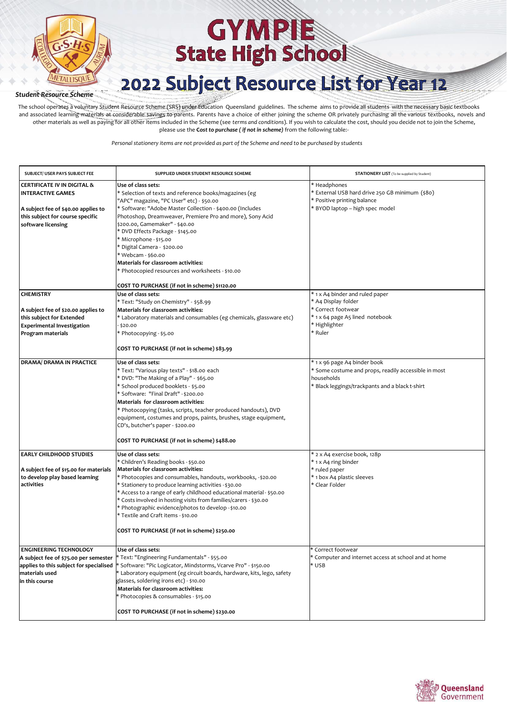

## 2022 Subject Resource List for Year 12

#### *Student Resource Scheme*

The school operates a voluntary Student Resource Scheme (SRS) under Education Queensland guidelines. The scheme aims to provide all students with the necessary basic textbooks and associated learning materials at considerable savings to parents. Parents have a choice of either joining the scheme OR privately purchasing all the various textbooks, novels and other materials as well as paying for all other items included in the Scheme (see *terms and conditions*). If you wish to calculate the cost, should you decide not to join the Scheme, please use the **C***ost to purchase ( if not in scheme)* from the following table:-

| SUBJECT/ USER PAYS SUBJECT FEE                                                                                                                                      | SUPPLIED UNDER STUDENT RESOURCE SCHEME                                                                                                                                                                                                                                                                                                                                                                                                                                                                                 | <b>STATIONERY LIST</b> (To be supplied by Student)                                                                                                    |
|---------------------------------------------------------------------------------------------------------------------------------------------------------------------|------------------------------------------------------------------------------------------------------------------------------------------------------------------------------------------------------------------------------------------------------------------------------------------------------------------------------------------------------------------------------------------------------------------------------------------------------------------------------------------------------------------------|-------------------------------------------------------------------------------------------------------------------------------------------------------|
| <b>CERTIFICATE IV IN DIGITAL &amp;</b><br><b>INTERACTIVE GAMES</b><br>A subject fee of \$40.00 applies to<br>this subject for course specific<br>software licensing | Use of class sets:<br>* Selection of texts and reference books/magazines (eg<br>"APC" magazine, "PC User" etc) - \$50.00<br>* Software: "Adobe Master Collection - \$400.00 (Includes<br>Photoshop, Dreamweaver, Premiere Pro and more), Sony Acid<br>\$200.00, Gamemaker" - \$40.00<br>* DVD Effects Package - \$145.00<br>* Microphone - \$15.00<br>* Digital Camera - \$200.00<br>* Webcam - \$60.00<br>Materials for classroom activities:<br>* Photocopied resources and worksheets - \$10.00                     | * Headphones<br>* External USB hard drive 250 GB minimum (\$80)<br>* Positive printing balance<br>* BYOD laptop - high spec model                     |
| <b>CHEMISTRY</b><br>A subject fee of \$20.00 applies to<br>this subject for Extended<br><b>Experimental Investigation</b><br>Program materials                      | COST TO PURCHASE (if not in scheme) \$1120.00<br>Use of class sets:<br>* Text: "Study on Chemistry" - \$58.99<br>Materials for classroom activities:<br>* Laboratory materials and consumables (eg chemicals, glassware etc)<br>\$20.00<br>* Photocopying - \$5.00                                                                                                                                                                                                                                                     | * 1 x A4 binder and ruled paper<br>* A4 Display folder<br>* Correct footwear<br>* 1 x 64 page A5 lined notebook<br>* Highlighter<br>* Ruler           |
| <b>DRAMA/ DRAMA IN PRACTICE</b>                                                                                                                                     | COST TO PURCHASE (if not in scheme) \$83.99<br>Use of class sets:<br>* Text: "Various play texts" - \$18.00 each<br>* DVD: "The Making of a Play" - \$65.00<br>* School produced booklets - \$5.00<br>* Software: "Final Draft" - \$200.00<br>Materials for classroom activities:<br>* Photocopying (tasks, scripts, teacher produced handouts), DVD<br>equipment, costumes and props, paints, brushes, stage equipment,<br>CD's, butcher's paper - \$200.00<br>COST TO PURCHASE (if not in scheme) \$488.00           | * 1 x 96 page A4 binder book<br>* Some costume and props, readily accessible in most<br>households<br>* Black leggings/trackpants and a black t-shirt |
| <b>EARLY CHILDHOOD STUDIES</b><br>A subject fee of \$15.00 for materials<br>to develop play based learning<br>activities                                            | Use of class sets:<br>* Children's Reading books - \$50.00<br>Materials for classroom activities:<br>* Photocopies and consumables, handouts, workbooks, -\$20.00<br>* Stationery to produce learning activities - \$30.00<br>* Access to a range of early childhood educational material - \$50.00<br>* Costs involved in hosting visits from families/carers - \$30.00<br>* Photographic evidence/photos to develop - \$10.00<br>* Textile and Craft items - \$10.00<br>COST TO PURCHASE (if not in scheme) \$250.00 | * 2 x A4 exercise book, 128p<br>* 1 x A4 ring binder<br>* ruled paper<br>* 1 box A4 plastic sleeves<br>* Clear Folder                                 |
| <b>ENGINEERING TECHNOLOGY</b><br>A subject fee of \$75.00 per semester<br>applies to this subject for specialised<br>materials used<br>in this course               | Use of class sets:<br>* Text: "Engineering Fundamentals" - \$55.00<br>Software: "Pic Logicator, Mindstorms, Vcarve Pro" - \$150.00<br>Laboratory equipment (eg circuit boards, hardware, kits, lego, safety<br>glasses, soldering irons etc) - \$10.00<br>Materials for classroom activities:<br>Photocopies & consumables - \$15.00<br>COST TO PURCHASE (if not in scheme) \$230.00                                                                                                                                   | * Correct footwear<br>* Computer and internet access at school and at home<br>* USB                                                                   |

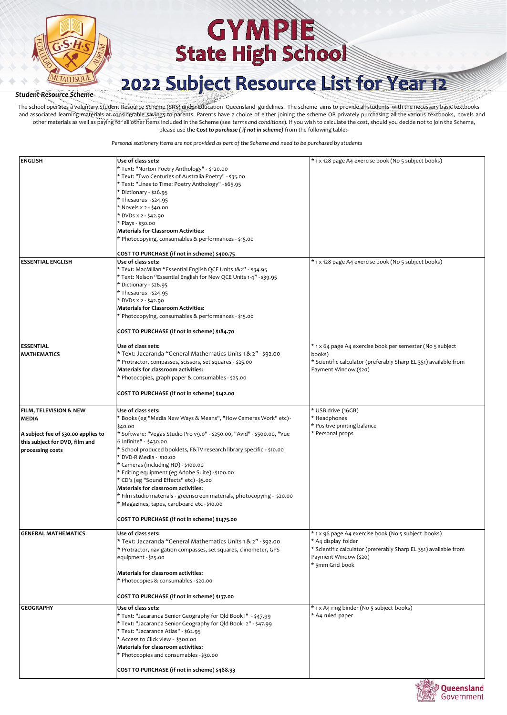

## 2022 Subject Resource List for Year 12

*Student Resource Scheme*

The school operates a voluntary Student Resource Scheme (SRS) under Education Queensland guidelines. The scheme aims to provide all students with the necessary basic textbooks and associated learning materials at considerable savings to parents. Parents have a choice of either joining the scheme OR privately purchasing all the various textbooks, novels and other materials as well as paying for all other items included in the Scheme (see *terms and conditions*). If you wish to calculate the cost, should you decide not to join the Scheme, please use the **C***ost to purchase ( if not in scheme)* from the following table:-

| <b>ENGLISH</b>                      | Use of class sets:                                                      | * 1 x 128 page A4 exercise book (No 5 subject books)             |
|-------------------------------------|-------------------------------------------------------------------------|------------------------------------------------------------------|
|                                     | * Text: "Norton Poetry Anthology" - \$120.00                            |                                                                  |
|                                     | * Text: "Two Centuries of Australia Poetry" - \$35.00                   |                                                                  |
|                                     | * Text: "Lines to Time: Poetry Anthology" - \$65.95                     |                                                                  |
|                                     | * Dictionary - \$26.95                                                  |                                                                  |
|                                     | * Thesaurus -\$24.95                                                    |                                                                  |
|                                     | * Novels x 2 - \$40.00                                                  |                                                                  |
|                                     | * DVDs x 2 - \$42.90                                                    |                                                                  |
|                                     | * Plays - \$30.00                                                       |                                                                  |
|                                     | <b>Materials for Classroom Activities:</b>                              |                                                                  |
|                                     |                                                                         |                                                                  |
|                                     | * Photocopying, consumables & performances - \$15.00                    |                                                                  |
|                                     | COST TO PURCHASE (if not in scheme) \$400.75                            |                                                                  |
| <b>ESSENTIAL ENGLISH</b>            | Use of class sets:                                                      | * 1 x 128 page A4 exercise book (No 5 subject books)             |
|                                     |                                                                         |                                                                  |
|                                     | * Text: MacMillan "Essential English QCE Units 1&2" - \$34.95           |                                                                  |
|                                     | * Text: Nelson "Essential English for New QCE Units 1-4" - \$39.95      |                                                                  |
|                                     | * Dictionary - \$26.95                                                  |                                                                  |
|                                     | * Thesaurus -\$24.95                                                    |                                                                  |
|                                     | * DVDs x 2 - \$42.90                                                    |                                                                  |
|                                     | <b>Materials for Classroom Activities:</b>                              |                                                                  |
|                                     | * Photocopying, consumables & performances - \$15.00                    |                                                                  |
|                                     |                                                                         |                                                                  |
|                                     | COST TO PURCHASE (if not in scheme) \$184.70                            |                                                                  |
|                                     |                                                                         |                                                                  |
| <b>ESSENTIAL</b>                    | Use of class sets:                                                      | * 1 x 64 page A4 exercise book per semester (No 5 subject        |
| <b>MATHEMATICS</b>                  | * Text: Jacaranda "General Mathematics Units 1 & 2" - \$92.00           | books)                                                           |
|                                     | * Protractor, compasses, scissors, set squares - \$25.00                | * Scientific calculator (preferably Sharp EL 351) available from |
|                                     | Materials for classroom activities:                                     | Payment Window (\$20)                                            |
|                                     | * Photocopies, graph paper & consumables - \$25.00                      |                                                                  |
|                                     |                                                                         |                                                                  |
|                                     | COST TO PURCHASE (if not in scheme) \$142.00                            |                                                                  |
|                                     |                                                                         |                                                                  |
| FILM, TELEVISION & NEW              | Use of class sets:                                                      | * USB drive (16GB)                                               |
| <b>MEDIA</b>                        | * Books (eg "Media New Ways & Means", "How Cameras Work" etc)-          | * Headphones                                                     |
|                                     | \$40.00                                                                 | * Positive printing balance                                      |
| A subject fee of \$30.00 applies to | * Software: "Vegas Studio Pro v9.0" - \$250.00, "Avid" - \$500.00, "Vue | * Personal props                                                 |
| this subject for DVD, film and      | 6 Infinite" - \$430.00                                                  |                                                                  |
| processing costs                    | * School produced booklets, F&TV research library specific - \$10.00    |                                                                  |
|                                     | * DVD-R Media - \$10.00                                                 |                                                                  |
|                                     | * Cameras (including HD) - \$100.00                                     |                                                                  |
|                                     | * Editing equipment (eg Adobe Suite) - \$100.00                         |                                                                  |
|                                     | * CD's (eg "Sound Effects" etc) - \$5.00                                |                                                                  |
|                                     | Materials for classroom activities:                                     |                                                                  |
|                                     | * Film studio materials - greenscreen materials, photocopying - \$20.00 |                                                                  |
|                                     | * Magazines, tapes, cardboard etc - \$10.00                             |                                                                  |
|                                     |                                                                         |                                                                  |
|                                     | COST TO PURCHASE (if not in scheme) \$1475.00                           |                                                                  |
|                                     |                                                                         |                                                                  |
| <b>GENERAL MATHEMATICS</b>          | Use of class sets:                                                      | * 1 x 96 page A4 exercise book (No 5 subject books)              |
|                                     | * Text: Jacaranda "General Mathematics Units 1 & 2" - \$92.00           | * A4 display folder                                              |
|                                     | * Protractor, navigation compasses, set squares, clinometer, GPS        | * Scientific calculator (preferably Sharp EL 351) available from |
|                                     | equipment - \$25.00                                                     | Payment Window (\$20)                                            |
|                                     |                                                                         | * 5mm Grid book                                                  |
|                                     | Materials for classroom activities:                                     |                                                                  |
|                                     | * Photocopies & consumables - \$20.00                                   |                                                                  |
|                                     |                                                                         |                                                                  |
|                                     | COST TO PURCHASE (if not in scheme) \$137.00                            |                                                                  |
| <b>GEOGRAPHY</b>                    | Use of class sets:                                                      | * 1 x A4 ring binder (No 5 subject books)                        |
|                                     | * Text: "Jacaranda Senior Geography for Qld Book I" - \$47.99           | * A4 ruled paper                                                 |
|                                     | * Text: "Jacaranda Senior Geography for Qld Book 2" - \$47.99           |                                                                  |
|                                     | * Text: "Jacaranda Atlas" - \$62.95                                     |                                                                  |
|                                     | * Access to Click view - \$300.00                                       |                                                                  |
|                                     | Materials for classroom activities:                                     |                                                                  |
|                                     | * Photocopies and consumables - \$30.00                                 |                                                                  |
|                                     |                                                                         |                                                                  |
|                                     | COST TO PURCHASE (if not in scheme) \$488.93                            |                                                                  |
|                                     |                                                                         |                                                                  |

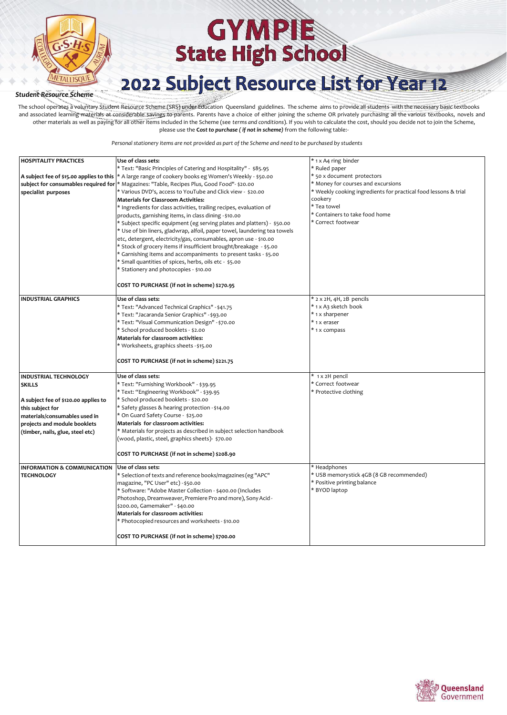

## 2022 Subject Resource List for Year 12

#### *Student Resource Scheme*

The school operates a voluntary Student Resource Scheme (SRS) under Education Queensland guidelines. The scheme aims to provide all students with the necessary basic textbooks and associated learning materials at considerable savings to parents. Parents have a choice of either joining the scheme OR privately purchasing all the various textbooks, novels and other materials as well as paying for all other items included in the Scheme (see *terms and conditions*). If you wish to calculate the cost, should you decide not to join the Scheme, please use the **C***ost to purchase ( if not in scheme)* from the following table:-

| <b>HOSPITALITY PRACTICES</b>           | Use of class sets:                                                                                      | * 1 x A4 ring binder                                            |
|----------------------------------------|---------------------------------------------------------------------------------------------------------|-----------------------------------------------------------------|
|                                        | * Text: "Basic Principles of Catering and Hospitality" - \$85.95                                        | * Ruled paper                                                   |
|                                        | A subject fee of \$15.00 applies to this   * A large range of cookery books eg Women's Weekly - \$50.00 | * 50 x document protectors                                      |
|                                        | subject for consumables required for * Magazines: "Table, Recipes Plus, Good Food"- \$20.00             | * Money for courses and excursions                              |
| specialist purposes                    | * Various DVD's, access to YouTube and Click view - \$20.00                                             | * Weekly cooking ingredients for practical food lessons & trial |
|                                        | <b>Materials for Classroom Activities:</b>                                                              | cookery                                                         |
|                                        | * Ingredients for class activities, trailing recipes, evaluation of                                     | * Tea towel                                                     |
|                                        | products, garnishing items, in class dining -\$10.00                                                    | * Containers to take food home                                  |
|                                        | * Subject specific equipment (eg serving plates and platters) - \$50.00                                 | * Correct footwear                                              |
|                                        | * Use of bin liners, gladwrap, alfoil, paper towel, laundering tea towels                               |                                                                 |
|                                        | etc, detergent, electricity/gas, consumables, apron use - \$10.00                                       |                                                                 |
|                                        | * Stock of grocery items if insufficient brought/breakage - \$5.00                                      |                                                                 |
|                                        | * Garnishing items and accompaniments to present tasks - \$5.00                                         |                                                                 |
|                                        | * Small quantities of spices, herbs, oils etc - \$5.00                                                  |                                                                 |
|                                        | * Stationery and photocopies - \$10.00                                                                  |                                                                 |
|                                        |                                                                                                         |                                                                 |
|                                        | COST TO PURCHASE (if not in scheme) \$270.95                                                            |                                                                 |
| <b>INDUSTRIAL GRAPHICS</b>             | Use of class sets:                                                                                      | * 2 x 2H, 4H, 2B pencils                                        |
|                                        | * Text: "Advanced Technical Graphics" - \$41.75                                                         | * 1 x A3 sketch book                                            |
|                                        | * Text: "Jacaranda Senior Graphics" - \$93.00                                                           | * 1 x sharpener                                                 |
|                                        | * Text: "Visual Communication Design" - \$70.00                                                         | * 1 x eraser                                                    |
|                                        | * School produced booklets - \$2.00                                                                     | * 1 x compass                                                   |
|                                        | Materials for classroom activities:                                                                     |                                                                 |
|                                        | * Worksheets, graphics sheets - \$15.00                                                                 |                                                                 |
|                                        |                                                                                                         |                                                                 |
|                                        | COST TO PURCHASE (if not in scheme) \$221.75                                                            |                                                                 |
| <b>INDUSTRIAL TECHNOLOGY</b>           | Use of class sets:                                                                                      | * 1 x 2H pencil                                                 |
| <b>SKILLS</b>                          | * Text: "Furnishing Workbook" - \$39.95                                                                 | * Correct footwear                                              |
|                                        | * Text: "Engineering Workbook" - \$39.95                                                                | * Protective clothing                                           |
| A subject fee of \$120.00 applies to   | * School produced booklets - \$20.00                                                                    |                                                                 |
| this subject for                       | * Safety glasses & hearing protection - \$14.00                                                         |                                                                 |
| materials/consumables used in          | * On Guard Safety Course - \$25.00                                                                      |                                                                 |
| projects and module booklets           | Materials for classroom activities:                                                                     |                                                                 |
| (timber, nails, glue, steel etc)       | * Materials for projects as described in subject selection handbook                                     |                                                                 |
|                                        | (wood, plastic, steel, graphics sheets)- \$70.00                                                        |                                                                 |
|                                        | COST TO PURCHASE (if not in scheme) \$208.90                                                            |                                                                 |
| <b>INFORMATION &amp; COMMUNICATION</b> | Use of class sets:                                                                                      | * Headphones                                                    |
| <b>TECHNOLOGY</b>                      | * Selection of texts and reference books/magazines (eg "APC"                                            | * USB memorystick 4GB (8 GB recommended)                        |
|                                        |                                                                                                         | * Positive printing balance                                     |
|                                        | magazine, "PC User" etc) - \$50.00                                                                      | * BYOD laptop                                                   |
|                                        | * Software: "Adobe Master Collection - \$400.00 (Includes                                               |                                                                 |
|                                        | Photoshop, Dreamweaver, Premiere Pro and more), Sony Acid-<br>\$200.00, Gamemaker" - \$40.00            |                                                                 |
|                                        | Materials for classroom activities:                                                                     |                                                                 |
|                                        | * Photocopied resources and worksheets - \$10.00                                                        |                                                                 |
|                                        |                                                                                                         |                                                                 |
|                                        | COST TO PURCHASE (if not in scheme) \$700.00                                                            |                                                                 |

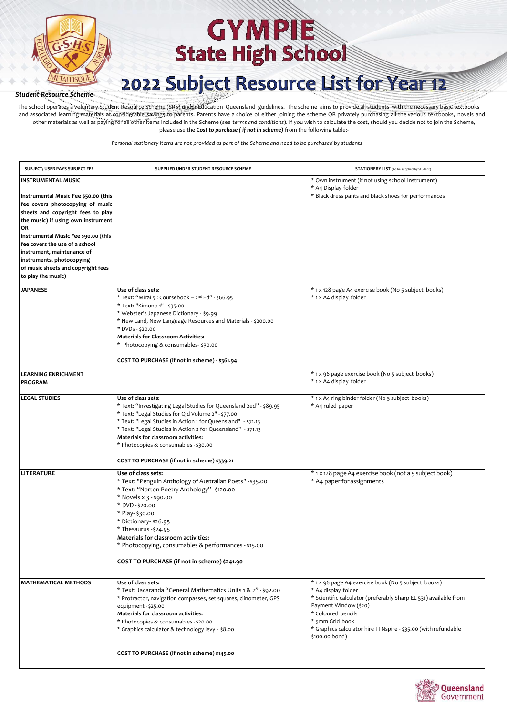

## 2022 Subject Resource List for Year 12

#### *Student Resource Scheme*

The school operates a voluntary Student Resource Scheme (SRS) under Education Queensland guidelines. The scheme aims to provide all students with the necessary basic textbooks and associated learning materials at considerable savings to parents. Parents have a choice of either joining the scheme OR privately purchasing all the various textbooks, novels and other materials as well as paying for all other items included in the Scheme (see *terms and conditions*). If you wish to calculate the cost, should you decide not to join the Scheme, please use the **C***ost to purchase ( if not in scheme)* from the following table:-

| SUBJECT/ USER PAYS SUBJECT FEE                                                                                                                          | SUPPLIED UNDER STUDENT RESOURCE SCHEME                                                                                                                                                                                                                                                                                                                                                                         | <b>STATIONERY LIST</b> (To be supplied by Student)                                                                                                                                                                                                                                                    |
|---------------------------------------------------------------------------------------------------------------------------------------------------------|----------------------------------------------------------------------------------------------------------------------------------------------------------------------------------------------------------------------------------------------------------------------------------------------------------------------------------------------------------------------------------------------------------------|-------------------------------------------------------------------------------------------------------------------------------------------------------------------------------------------------------------------------------------------------------------------------------------------------------|
| <b>INSTRUMENTAL MUSIC</b><br>Instrumental Music Fee \$50.00 (this<br>fee covers photocopying of music                                                   |                                                                                                                                                                                                                                                                                                                                                                                                                | * Own instrument (if not using school instrument)<br>* A4 Display folder<br>* Black dress pants and black shoes for performances                                                                                                                                                                      |
| sheets and copyright fees to play<br>the music) if using own instrument<br>OR<br>Instrumental Music Fee \$90.00 (this<br>fee covers the use of a school |                                                                                                                                                                                                                                                                                                                                                                                                                |                                                                                                                                                                                                                                                                                                       |
| instrument, maintenance of<br>instruments, photocopying<br>of music sheets and copyright fees<br>to play the music)                                     |                                                                                                                                                                                                                                                                                                                                                                                                                |                                                                                                                                                                                                                                                                                                       |
| <b>JAPANESE</b>                                                                                                                                         | Use of class sets:<br>* Text: "Mirai 5 : Coursebook - 2 <sup>nd</sup> Ed" - \$66.95<br>* Text: "Kimono 1" - \$35.00<br>* Webster's Japanese Dictionary - \$9.99<br>* New Land, New Language Resources and Materials - \$200.00<br>* DVDs - \$20.00<br><b>Materials for Classroom Activities:</b><br>* Photocopying & consumables- \$30.00<br>COST TO PURCHASE (if not in scheme) - \$361.94                    | * 1 x 128 page A4 exercise book (No 5 subject books)<br>* 1 x A4 display folder                                                                                                                                                                                                                       |
| <b>LEARNING ENRICHMENT</b><br><b>PROGRAM</b>                                                                                                            |                                                                                                                                                                                                                                                                                                                                                                                                                | * 1 x 96 page exercise book (No 5 subject books)<br>* 1 x A4 display folder                                                                                                                                                                                                                           |
| <b>LEGAL STUDIES</b>                                                                                                                                    | Use of class sets:<br>* Text: "Investigating Legal Studies for Queensland 2ed" - \$89.95<br>* Text: "Legal Studies for Qld Volume 2" - \$77.00<br>* Text: "Legal Studies in Action 1 for Queensland" - \$71.13<br>* Text: "Legal Studies in Action 2 for Queensland" - \$71.13<br>Materials for classroom activities:<br>* Photocopies & consumables - \$30.00<br>COST TO PURCHASE (if not in scheme) \$339.21 | * 1 x A4 ring binder folder (No 5 subject books)<br>* A4 ruled paper                                                                                                                                                                                                                                  |
| LITERATURE                                                                                                                                              | Use of class sets:<br>* Text: "Penguin Anthology of Australian Poets" - \$35.00<br>* Text: "Norton Poetry Anthology" -\$120.00<br>* Novels x 3 - \$90.00<br>* DVD-\$20.00<br>* Play- \$30.00<br>* Dictionary- \$26.95<br>* Thesaurus - \$24.95<br><b>Materials for classroom activities:</b><br>* Photocopying, consumables & performances - \$15.00<br>COST TO PURCHASE (if not in scheme) \$241.90           | * 1 x 128 page A4 exercise book (not a 5 subject book)<br>* A4 paper for assignments                                                                                                                                                                                                                  |
| <b>MATHEMATICAL METHODS</b>                                                                                                                             | Use of class sets:<br>* Text: Jacaranda "General Mathematics Units 1 & 2" - \$92.00<br>* Protractor, navigation compasses, set squares, clinometer, GPS<br>equipment - \$25.00<br>Materials for classroom activities:<br>* Photocopies & consumables - \$20.00<br>* Graphics calculator & technology levy - \$8.00                                                                                             | * 1 x 96 page A4 exercise book (No 5 subject books)<br>* A4 display folder<br>* Scientific calculator (preferably Sharp EL 531) available from<br>Payment Window (\$20)<br>* Coloured pencils<br>* 5mm Grid book<br>* Graphics calculator hire TI Nspire - \$35.00 (with refundable<br>\$100.00 bond) |
|                                                                                                                                                         | COST TO PURCHASE (if not in scheme) \$145.00                                                                                                                                                                                                                                                                                                                                                                   |                                                                                                                                                                                                                                                                                                       |

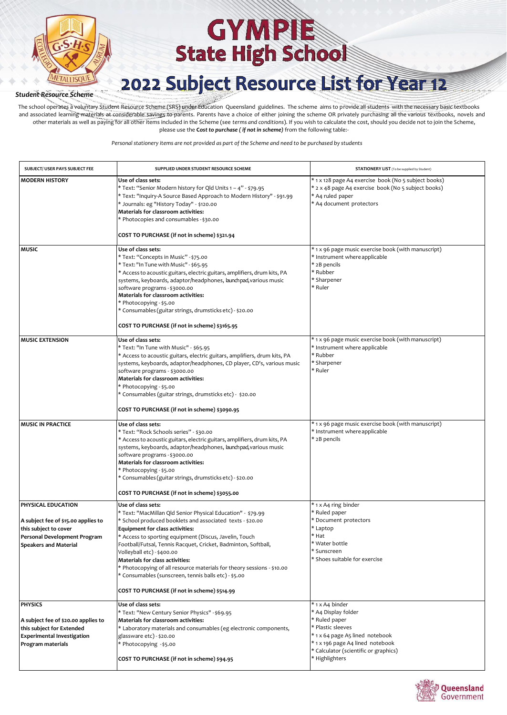

## 2022 Subject Resource List for Year 12

*Student Resource Scheme*

The school operates a voluntary Student Resource Scheme (SRS) under Education Queensland guidelines. The scheme aims to provide all students with the necessary basic textbooks and associated learning materials at considerable savings to parents. Parents have a choice of either joining the scheme OR privately purchasing all the various textbooks, novels and other materials as well as paying for all other items included in the Scheme (see *terms and conditions*). If you wish to calculate the cost, should you decide not to join the Scheme, please use the **C***ost to purchase ( if not in scheme)* from the following table:-

| SUBJECT/ USER PAYS SUBJECT FEE                                                                                                               | SUPPLIED UNDER STUDENT RESOURCE SCHEME                                                                                                                                                                                                                                                                                                                                                                                                                                                                                                                                  | <b>STATIONERY LIST</b> (To be supplied by Student)                                                                                                                                                             |
|----------------------------------------------------------------------------------------------------------------------------------------------|-------------------------------------------------------------------------------------------------------------------------------------------------------------------------------------------------------------------------------------------------------------------------------------------------------------------------------------------------------------------------------------------------------------------------------------------------------------------------------------------------------------------------------------------------------------------------|----------------------------------------------------------------------------------------------------------------------------------------------------------------------------------------------------------------|
| <b>MODERN HISTORY</b>                                                                                                                        | Use of class sets:<br>* Text: "Senior Modern history for Qld Units 1 - 4" - \$79.95<br>* Text: "Inquiry-A Source Based Approach to Modern History" - \$91.99<br>* Journals: eg "History Today" - \$120.00<br>Materials for classroom activities:<br>* Photocopies and consumables - \$30.00<br>COST TO PURCHASE (if not in scheme) \$321.94                                                                                                                                                                                                                             | * 1 x 128 page A4 exercise book (No 5 subject books)<br>* 2 x 48 page A4 exercise book (No 5 subject books)<br>* A4 ruled paper<br>* A4 document protectors                                                    |
| <b>MUSIC</b>                                                                                                                                 | Use of class sets:<br>* Text: "Concepts in Music" - \$75.00<br>* Text: "In Tune with Music" - \$65.95<br>* Access to acoustic guitars, electric guitars, amplifiers, drum kits, PA<br>systems, keyboards, adaptor/headphones, launchpad, various music<br>software programs - \$3000.00<br>Materials for classroom activities:<br>* Photocopying - \$5.00<br>* Consumables (guitar strings, drumsticks etc) - \$20.00<br>COST TO PURCHASE (if not in scheme) \$3165.95                                                                                                  | * 1 x 96 page music exercise book (with manuscript)<br>* Instrument where applicable<br>* 2B pencils<br>* Rubber<br>* Sharpener<br>* Ruler                                                                     |
| <b>MUSIC EXTENSION</b>                                                                                                                       | Use of class sets:<br>* Text: "In Tune with Music" - \$65.95<br>* Access to acoustic guitars, electric guitars, amplifiers, drum kits, PA<br>systems, keyboards, adaptor/headphones, CD player, CD's, various music<br>software programs - \$3000.00<br>Materials for classroom activities:<br>* Photocopying - \$5.00<br>* Consumables (guitar strings, drumsticks etc) - \$20.00<br>COST TO PURCHASE (if not in scheme) \$3090.95                                                                                                                                     | * 1 x 96 page music exercise book (with manuscript)<br>* Instrument where applicable<br>* Rubber<br>* Sharpener<br>* Ruler                                                                                     |
| <b>MUSIC IN PRACTICE</b>                                                                                                                     | Use of class sets:<br>* Text: "Rock Schools series" - \$30.00<br>* Access to acoustic guitars, electric guitars, amplifiers, drum kits, PA<br>systems, keyboards, adaptor/headphones, launchpad, various music<br>software programs - \$3000.00<br>Materials for classroom activities:<br>* Photocopying - \$5.00<br>* Consumables (guitar strings, drumsticks etc) - \$20.00<br>COST TO PURCHASE (if not in scheme) \$3055.00                                                                                                                                          | * 1 x 96 page music exercise book (with manuscript)<br>* Instrument where applicable<br>* 2B pencils                                                                                                           |
| PHYSICAL EDUCATION<br>A subject fee of \$15.00 applies to<br>this subject to cover<br>Personal Development Program<br>Speakers and Material  | Use of class sets:<br>* Text: "MacMillan Qld Senior Physical Education" - \$79.99<br>* School produced booklets and associated texts - \$20.00<br><b>Equipment for class activities:</b><br>* Access to sporting equipment (Discus, Javelin, Touch<br>Football/Futsal, Tennis Racquet, Cricket, Badminton, Softball,<br>Volleyball etc) - \$400.00<br>Materials for class activities:<br>* Photocopying of all resource materials for theory sessions - \$10.00<br>* Consumables (sunscreen, tennis balls etc) - \$5.00<br>COST TO PURCHASE (if not in scheme) \$514.99 | * 1 x A4 ring binder<br>* Ruled paper<br>* Document protectors<br>* Laptop<br>* Hat<br>* Water bottle<br>* Sunscreen<br>* Shoes suitable for exercise                                                          |
| <b>PHYSICS</b><br>A subject fee of \$20.00 applies to<br>this subject for Extended<br><b>Experimental Investigation</b><br>Program materials | Use of class sets:<br>* Text: "New Century Senior Physics" - \$69.95<br>Materials for classroom activities:<br>* Laboratory materials and consumables (eg electronic components,<br>glassware etc) - \$20.00<br>* Photocopying -\$5.00<br>COST TO PURCHASE (if not in scheme) \$94.95                                                                                                                                                                                                                                                                                   | * 1 x A4 binder<br>* A4 Display folder<br>* Ruled paper<br>* Plastic sleeves<br>* 1 x 64 page A5 lined notebook<br>* 1 x 196 page A4 lined notebook<br>* Calculator (scientific or graphics)<br>* Highlighters |